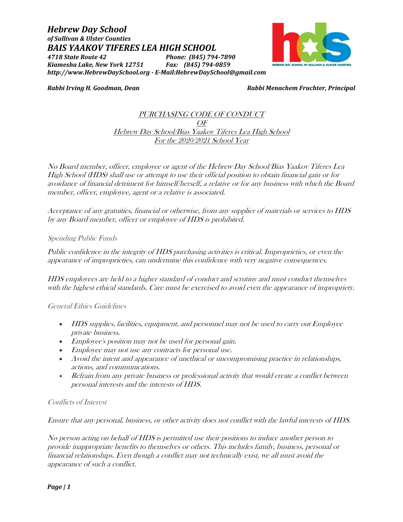*BAIS YAAKOV TIFERES LEA HIGH SCHOOL 4718 State Route 42 Phone: (845) 794-7890 Kiamesha Lake, New York 12751 Fax: (845) 794-0859 http://www.HebrewDaySchool.org - E-Mail:HebrewDaySchool@gmail.com*



*Hebrew Day School of Sullivan & Ulster Counties*

*Rabbi Irving H. Goodman, Dean Rabbi Menachem Fruchter, Principal*

# PURCHASING CODE OF CONDUCT OF Hebrew Day School/Bias Yaakov Tiferes Lea High School For the 2020/2021 School Year

No Board member, officer, employee or agent of the Hebrew Day School/Bias Yaakov Tiferes Lea High School (HDS) shall use or attempt to use their official position to obtain financial gain or for avoidance of financial detriment for himself/herself, a relative or for any business with which the Board member, officer, employee, agent or a relative is associated.

Acceptance of any gratuities, financial or otherwise, from any supplier of materials or services to HDS by any Board member, officer or employee of HDS is prohibited.

### Spending Public Funds

Public confidence in the integrity of HDS purchasing activities is critical. Improprieties, or even the appearance of improprieties, can undermine this confidence with very negative consequences.

HDS employees are held to a higher standard of conduct and scrutiny and must conduct themselves with the highest ethical standards. Care must be exercised to avoid even the appearance of impropriety.

### General Ethics Guidelines

- HDS supplies, facilities, equipment, and personnel may not be used to carry out Employee private business.
- Employee's position may not be used for personal gain.
- Employee may not use any contracts for personal use.
- Avoid the intent and appearance of unethical or uncompromising practice in relationships, actions, and communications.
- Refrain from any private business or professional activity that would create a conflict between personal interests and the interests of HDS.

# Conflicts of Interest

Ensure that any personal, business, or other activity does not conflict with the lawful interests of HDS.

No person acting on behalf of HDS is permitted use their positions to induce another person to provide inappropriate benefits to themselves or others. This includes family, business, personal or financial relationships. Even though a conflict may not technically exist, we all must avoid the appearance of such a conflict.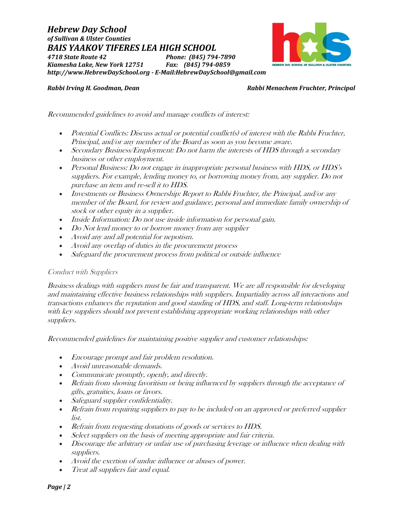*Hebrew Day School of Sullivan & Ulster Counties BAIS YAAKOV TIFERES LEA HIGH SCHOOL 4718 State Route 42 Phone: (845) 794-7890 Kiamesha Lake, New York 12751 Fax: (845) 794-0859 http://www.HebrewDaySchool.org - E-Mail:HebrewDaySchool@gmail.com*



### *Rabbi Irving H. Goodman, Dean Rabbi Menachem Fruchter, Principal*

Recommended guidelines to avoid and manage conflicts of interest:

- Potential Conflicts: Discuss actual or potential conflict(s) of interest with the Rabbi Fruchter, Principal, and/or any member of the Board as soon as you become aware.
- Secondary Business/Employment: Do not harm the interests of HDS through a secondary business or other employment.
- Personal Business: Do not engage in inappropriate personal business with HDS, or HDS's suppliers. For example, lending money to, or borrowing money from, any supplier. Do not purchase an item and re-sell it to HDS.
- Investments or Business Ownership: Report to Rabbi Fruchter, the Principal, and/or any member of the Board, for review and guidance, personal and immediate family ownership of stock or other equity in a supplier.
- Inside Information: Do not use inside information for personal gain.
- Do Not lend money to or borrow money from any supplier
- Avoid any and all potential for nepotism.
- Avoid any overlap of duties in the procurement process
- Safeguard the procurement process from political or outside influence

### Conduct with Suppliers

Business dealings with suppliers must be fair and transparent. We are all responsible for developing and maintaining effective business relationships with suppliers. Impartiality across all interactions and transactions enhances the reputation and good standing of HDS, and staff. Long-term relationships with key suppliers should not prevent establishing appropriate working relationships with other suppliers.

Recommended guidelines for maintaining positive supplier and customer relationships:

- Encourage prompt and fair problem resolution.
- Avoid unreasonable demands.
- Communicate promptly, openly, and directly.
- Refrain from showing favoritism or being influenced by suppliers through the acceptance of gifts, gratuities, loans or favors.
- Safeguard supplier confidentiality.
- Refrain from requiring suppliers to pay to be included on an approved or preferred supplier list.
- Refrain from requesting donations of goods or services to HDS.
- Select suppliers on the basis of meeting appropriate and fair criteria.
- Discourage the arbitrary or unfair use of purchasing leverage or influence when dealing with suppliers.
- Avoid the exertion of undue influence or abuses of power.
- Treat all suppliers fair and equal.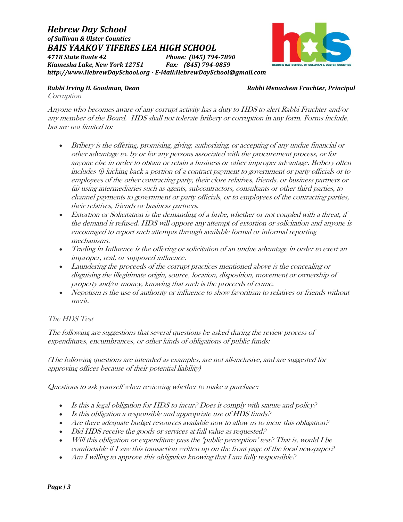*Hebrew Day School of Sullivan & Ulster Counties BAIS YAAKOV TIFERES LEA HIGH SCHOOL 4718 State Route 42 Phone: (845) 794-7890 Kiamesha Lake, New York 12751 Fax: (845) 794-0859 http://www.HebrewDaySchool.org - E-Mail:HebrewDaySchool@gmail.com*



# *Rabbi Irving H. Goodman, Dean Rabbi Menachem Fruchter, Principal*

**Corruption** 

Anyone who becomes aware of any corrupt activity has a duty to HDS to alert Rabbi Fruchter and/or any member of the Board. HDS shall not tolerate bribery or corruption in any form. Forms include, but are not limited to:

- Bribery is the offering, promising, giving, authorizing, or accepting of any undue financial or other advantage to, by or for any persons associated with the procurement process, or for anyone else in order to obtain or retain a business or other improper advantage. Bribery often includes (i) kicking back a portion of a contract payment to government or party officials or to employees of the other contracting party, their close relatives, friends, or business partners or (ii) using intermediaries such as agents, subcontractors, consultants or other third parties, to channel payments to government or party officials, or to employees of the contracting parties, their relatives, friends or business partners.
- Extortion or Solicitation is the demanding of a bribe, whether or not coupled with a threat, if the demand is refused. HDS will oppose any attempt of extortion or solicitation and anyone is encouraged to report such attempts through available formal or informal reporting mechanisms.
- Trading in Influence is the offering or solicitation of an undue advantage in order to exert an improper, real, or supposed influence.
- Laundering the proceeds of the corrupt practices mentioned above is the concealing or disguising the illegitimate origin, source, location, disposition, movement or ownership of property and/or money, knowing that such is the proceeds of crime.
- Nepotism is the use of authority or influence to show favoritism to relatives or friends without merit.

# The HDS Test

The following are suggestions that several questions be asked during the review process of expenditures, encumbrances, or other kinds of obligations of public funds:

(The following questions are intended as examples, are not all-inclusive, and are suggested for approving offices because of their potential liability)

Questions to ask yourself when reviewing whether to make a purchase:

- Is this a legal obligation for HDS to incur? Does it comply with statute and policy?
- Is this obligation a responsible and appropriate use of HDS funds. $P$
- Are there adequate budget resources available now to allow us to incur this obligation?
- Did HDS receive the goods or services at full value as requested?
- Will this obligation or expenditure pass the "public perception" test? That is, would  $I$  be comfortable if I saw this transaction written up on the front page of the local newspaper?
- Am I willing to approve this obligation knowing that I am fully responsible?